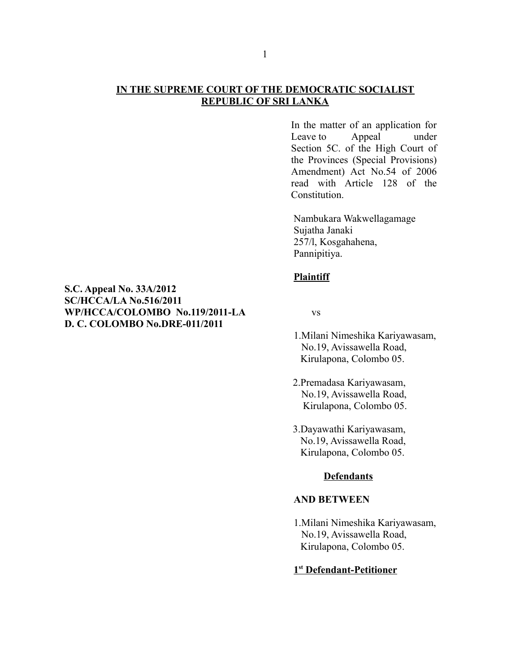## **IN THE SUPREME COURT OF THE DEMOCRATIC SOCIALIST REPUBLIC OF SRI LANKA**

In the matter of an application for Leave to Appeal under Section 5C. of the High Court of the Provinces (Special Provisions) Amendment) Act No.54 of 2006 read with Article 128 of the **Constitution** 

Nambukara Wakwellagamage Sujatha Janaki 257/l, Kosgahahena, Pannipitiya.

## **Plaintiff**

- 1.Milani Nimeshika Kariyawasam, No.19, Avissawella Road, Kirulapona, Colombo 05.
- 2.Premadasa Kariyawasam, No.19, Avissawella Road, Kirulapona, Colombo 05.
- 3.Dayawathi Kariyawasam, No.19, Avissawella Road, Kirulapona, Colombo 05.

### **Defendants**

## **AND BETWEEN**

1.Milani Nimeshika Kariyawasam, No.19, Avissawella Road, Kirulapona, Colombo 05.

## **1 st Defendant-Petitioner**

# **S.C. Appeal No. 33A/2012 SC/HCCA/LA No.516/2011 WP/HCCA/COLOMBO No.119/2011-LA** vs **D. C. COLOMBO No.DRE-011/2011**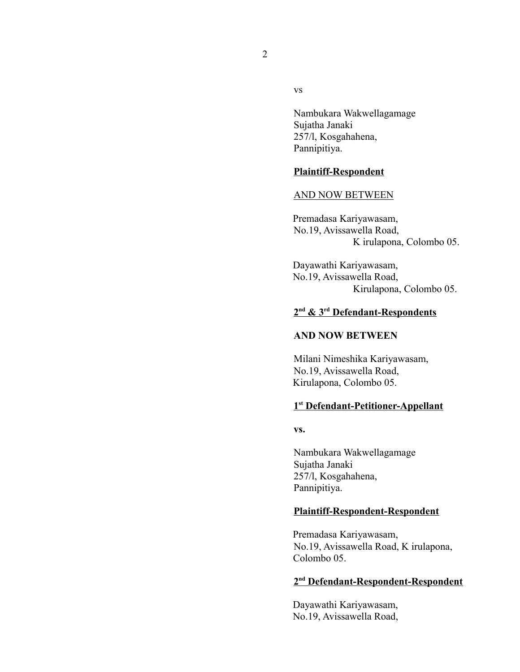2

vs

Nambukara Wakwellagamage Sujatha Janaki 257/l, Kosgahahena, Pannipitiya.

### **Plaintiff-Respondent**

#### AND NOW BETWEEN

 Premadasa Kariyawasam, No.19, Avissawella Road, K irulapona, Colombo 05.

 Dayawathi Kariyawasam, No.19, Avissawella Road, Kirulapona, Colombo 05.

## **2 nd & 3rd Defendant-Respondents**

# **AND NOW BETWEEN**

Milani Nimeshika Kariyawasam, No.19, Avissawella Road, Kirulapona, Colombo 05.

## **1 st Defendant-Petitioner-Appellant**

**vs.**

Nambukara Wakwellagamage Sujatha Janaki 257/l, Kosgahahena, Pannipitiya.

### **Plaintiff-Respondent-Respondent**

 Premadasa Kariyawasam, No.19, Avissawella Road, K irulapona, Colombo 05.

## **2 nd Defendant-Respondent-Respondent**

 Dayawathi Kariyawasam, No.19, Avissawella Road,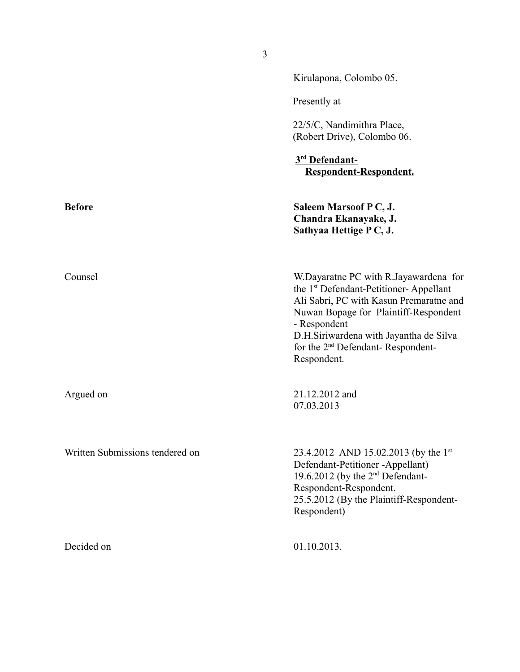|                                 | Kirulapona, Colombo 05.                                                                                                                                                                                                                                                                                   |
|---------------------------------|-----------------------------------------------------------------------------------------------------------------------------------------------------------------------------------------------------------------------------------------------------------------------------------------------------------|
|                                 | Presently at                                                                                                                                                                                                                                                                                              |
|                                 | 22/5/C, Nandimithra Place,<br>(Robert Drive), Colombo 06.                                                                                                                                                                                                                                                 |
|                                 | 3rd Defendant-<br>Respondent-Respondent.                                                                                                                                                                                                                                                                  |
| <b>Before</b>                   | Saleem Marsoof P C, J.<br>Chandra Ekanayake, J.<br>Sathyaa Hettige PC, J.                                                                                                                                                                                                                                 |
| Counsel                         | W.Dayaratne PC with R.Jayawardena for<br>the 1 <sup>st</sup> Defendant-Petitioner-Appellant<br>Ali Sabri, PC with Kasun Premaratne and<br>Nuwan Bopage for Plaintiff-Respondent<br>- Respondent<br>D.H.Siriwardena with Jayantha de Silva<br>for the 2 <sup>nd</sup> Defendant-Respondent-<br>Respondent. |
| Argued on                       | 21.12.2012 and<br>07.03.2013                                                                                                                                                                                                                                                                              |
| Written Submissions tendered on | 23.4.2012 AND 15.02.2013 (by the 1 <sup>st</sup><br>Defendant-Petitioner -Appellant)<br>19.6.2012 (by the 2 <sup>nd</sup> Defendant-<br>Respondent-Respondent.<br>25.5.2012 (By the Plaintiff-Respondent-<br>Respondent)                                                                                  |
| Decided on                      | 01.10.2013.                                                                                                                                                                                                                                                                                               |

3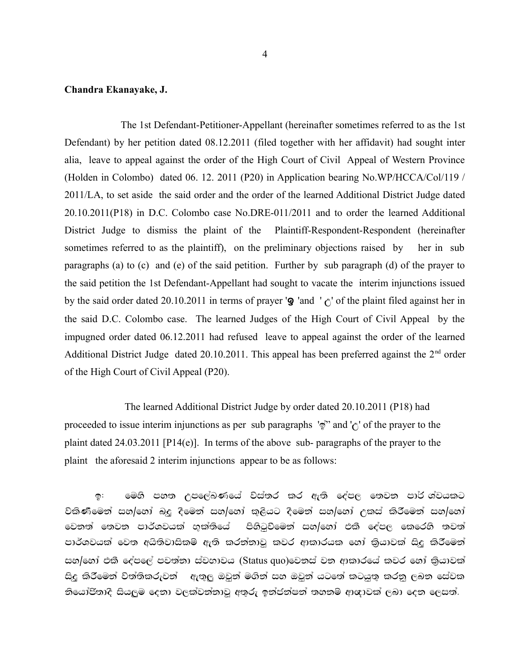### **Chandra Ekanayake, J.**

The 1st Defendant-Petitioner-Appellant (hereinafter sometimes referred to as the 1st Defendant) by her petition dated 08.12.2011 (filed together with her affidavit) had sought inter alia, leave to appeal against the order of the High Court of Civil Appeal of Western Province (Holden in Colombo) dated 06. 12. 2011 (P20) in Application bearing No.WP/HCCA/Col/119 / 2011/LA, to set aside the said order and the order of the learned Additional District Judge dated 20.10.2011(P18) in D.C. Colombo case No.DRE-011/2011 and to order the learned Additional District Judge to dismiss the plaint of the Plaintiff-Respondent-Respondent (hereinafter sometimes referred to as the plaintiff), on the preliminary objections raised by her in sub paragraphs (a) to (c) and (e) of the said petition. Further by sub paragraph (d) of the prayer to the said petition the 1st Defendant-Appellant had sought to vacate the interim injunctions issued by the said order dated 20.10.2011 in terms of prayer ' $\mathbf{\mathcal{Q}}$  'and ' $\mathbf{\hat{C}}$ ' of the plaint filed against her in the said D.C. Colombo case. The learned Judges of the High Court of Civil Appeal by the impugned order dated 06.12.2011 had refused leave to appeal against the order of the learned Additional District Judge dated 20.10.2011. This appeal has been preferred against the  $2<sup>nd</sup>$  order of the High Court of Civil Appeal (P20).

The learned Additional District Judge by order dated 20.10.2011 (P18) had proceeded to issue interim injunctions as per sub paragraphs  $\phi$ " and ' $\phi$ ' of the prayer to the plaint dated 24.03.2011 [P14(e)]. In terms of the above sub- paragraphs of the prayer to the plaint the aforesaid 2 interim injunctions appear to be as follows:

ඉ: මෙහි පහත උපලේඛණයේ විස්තර කර ඇති දේපල තෙවන පාර් ශ්වයකට වකිණිමෙන් සහ/හෝ බදු දීමෙන් සහ/හෝ කුලියට දීමෙන් සහ/හෝ උකස් කිරීමෙන් සහ/හෝ වෙනත් තෙවන පාර්ශවයක් භුක්තියේ පිහිටුවීමෙන් සහ/හෝ එකී දේපල කෙරෙහි තවත් පාර්ශවයක් වෙත අයිතිවාසිකම ඇති කරන්නාවූ කවර ආකාරයක හෝ කිුයාවක් සිදු කිරීමෙන් සහ/හෝ එකී දේපලේ පවත්තා ස්වභාවය (Status quo)වෙනස් වන ආකාරයේ කවර හෝ කියාවක් සිදු කිරීමෙන් විත්තිකරුවන් – ඇතුලු ඔවුන් මගින් සහ ඔවුන් යටතේ කටයුතු කරනු ලබන සේවක නියෝජිතාදී සියලුම දෙනා වලක්වන්නාවූ අතුරු ඉන්ජන්ෂන් තහනම් ආඥාවක් ලබා දෙන ලෙසත්.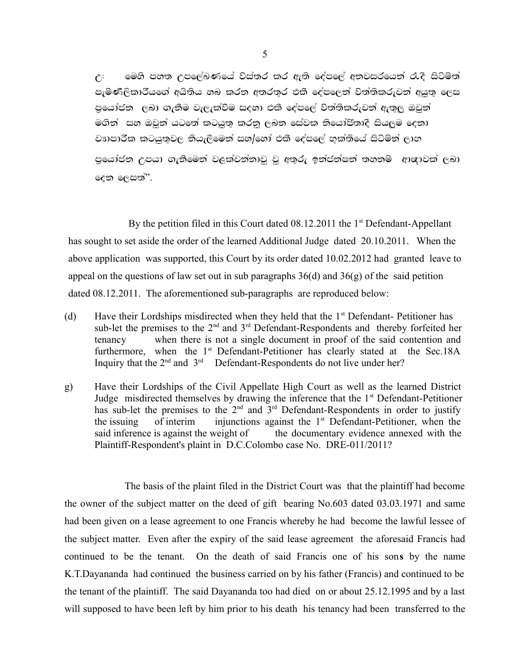$\mathfrak{g}$ : මෙහි පහත උපලේඛණයේ විස්තර කර ඇති දේපලේ අතවසරයෙන් රැදි සිටිමත් පැමණිලිකාරියගේ අයිතිය හබ කරන අතරතර එකී දේපලෙන් විත්තිකරුවන් අයුතු ලෙස පුයෝජන ලබා ගැනීම වැලැක්වීම සදහා එකී දේපලේ වත්තිකරුවන් ඇතුලු ඔවුන් මගින් සහ ඔවුන් යටතේ කටයුතු කරනු ලබන සේවක නියෝජිතාදී සියලුම දෙනා වාාපාරික කටයුතුවල තියැලීමෙන් සහ/හෝ එකී දේපලේ හක්තියේ සිටිමින් ලාභ පුයෝජන උපයා ගැනීමෙන් වළක්වන්නාවූ වූ අතුරු ඉන්ජන්ෂන් තහනම ආඥාවක් ලබා දෙන ලෙසත් $"$ .

By the petition filed in this Court dated  $08.12.2011$  the 1<sup>st</sup> Defendant-Appellant has sought to set aside the order of the learned Additional Judge dated 20.10.2011. When the above application was supported, this Court by its order dated 10.02.2012 had granted leave to appeal on the questions of law set out in sub paragraphs  $36(d)$  and  $36(g)$  of the said petition dated 08.12.2011. The aforementioned sub-paragraphs are reproduced below:

- (d) Have their Lordships misdirected when they held that the  $1<sup>st</sup>$  Defendant- Petitioner has sub-let the premises to the 2<sup>nd</sup> and 3<sup>rd</sup> Defendant-Respondents and thereby forfeited her tenancy when there is not a single document in proof of the said contention and furthermore, when the  $1<sup>st</sup>$  Defendant-Petitioner has clearly stated at the Sec.18A Inquiry that the  $2<sup>nd</sup>$  and  $3<sup>rd</sup>$  Defendant-Respondents do not live under her?
- g) Have their Lordships of the Civil Appellate High Court as well as the learned District Judge misdirected themselves by drawing the inference that the 1<sup>st</sup> Defendant-Petitioner has sub-let the premises to the  $2<sup>nd</sup>$  and  $3<sup>rd</sup>$  Defendant-Respondents in order to justify the issuing of interim injunctions against the  $1<sup>st</sup>$  Defendant-Petitioner, when the said inference is against the weight of the documentary evidence annexed with the Plaintiff-Respondent's plaint in D.C.Colombo case No. DRE-011/2011?

The basis of the plaint filed in the District Court was that the plaintiff had become the owner of the subject matter on the deed of gift bearing No.603 dated 03.03.1971 and same had been given on a lease agreement to one Francis whereby he had become the lawful lessee of the subject matter. Even after the expiry of the said lease agreement the aforesaid Francis had continued to be the tenant. On the death of said Francis one of his son**s** by the name K.T.Dayananda had continued the business carried on by his father (Francis) and continued to be the tenant of the plaintiff. The said Dayananda too had died on or about 25.12.1995 and by a last will supposed to have been left by him prior to his death his tenancy had been transferred to the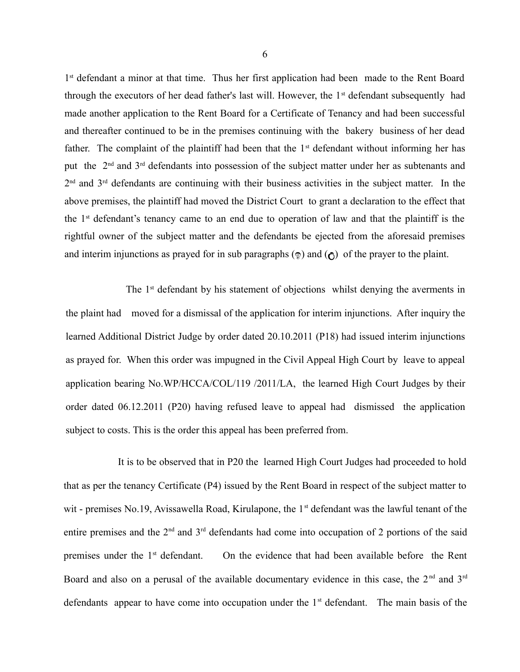1<sup>st</sup> defendant a minor at that time. Thus her first application had been made to the Rent Board through the executors of her dead father's last will. However, the 1<sup>st</sup> defendant subsequently had made another application to the Rent Board for a Certificate of Tenancy and had been successful and thereafter continued to be in the premises continuing with the bakery business of her dead father. The complaint of the plaintiff had been that the  $1<sup>st</sup>$  defendant without informing her has put the 2nd and 3rd defendants into possession of the subject matter under her as subtenants and 2<sup>nd</sup> and 3<sup>rd</sup> defendants are continuing with their business activities in the subject matter. In the above premises, the plaintiff had moved the District Court to grant a declaration to the effect that the  $1<sup>st</sup>$  defendant's tenancy came to an end due to operation of law and that the plaintiff is the rightful owner of the subject matter and the defendants be ejected from the aforesaid premises and interim injunctions as prayed for in sub paragraphs  $(\circledast)$  and  $(\circledast)$  of the prayer to the plaint.

The 1<sup>st</sup> defendant by his statement of objections whilst denying the averments in the plaint had moved for a dismissal of the application for interim injunctions. After inquiry the learned Additional District Judge by order dated 20.10.2011 (P18) had issued interim injunctions as prayed for. When this order was impugned in the Civil Appeal High Court by leave to appeal application bearing No.WP/HCCA/COL/119 /2011/LA, the learned High Court Judges by their order dated 06.12.2011 (P20) having refused leave to appeal had dismissed the application subject to costs. This is the order this appeal has been preferred from.

 It is to be observed that in P20 the learned High Court Judges had proceeded to hold that as per the tenancy Certificate (P4) issued by the Rent Board in respect of the subject matter to wit - premises No.19, Avissawella Road, Kirulapone, the  $1<sup>st</sup>$  defendant was the lawful tenant of the entire premises and the  $2<sup>nd</sup>$  and  $3<sup>rd</sup>$  defendants had come into occupation of 2 portions of the said premises under the 1<sup>st</sup> defendant. On the evidence that had been available before the Rent Board and also on a perusal of the available documentary evidence in this case, the  $2<sup>nd</sup>$  and  $3<sup>rd</sup>$ defendants appear to have come into occupation under the  $1<sup>st</sup>$  defendant. The main basis of the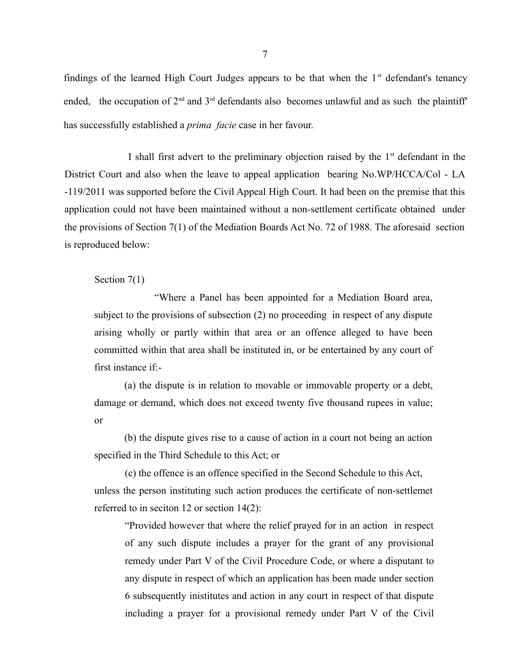findings of the learned High Court Judges appears to be that when the  $1<sup>st</sup>$  defendant's tenancy ended, the occupation of  $2<sup>nd</sup>$  and  $3<sup>rd</sup>$  defendants also becomes unlawful and as such the plaintiff' has successfully established a *prima facie* case in her favour.

I shall first advert to the preliminary objection raised by the  $1<sup>st</sup>$  defendant in the District Court and also when the leave to appeal application bearing No.WP/HCCA/Col - LA -119/2011 was supported before the Civil Appeal High Court. It had been on the premise that this application could not have been maintained without a non-settlement certificate obtained under the provisions of Section 7(1) of the Mediation Boards Act No. 72 of 1988. The aforesaid section is reproduced below:

Section 7(1)

"Where a Panel has been appointed for a Mediation Board area, subject to the provisions of subsection (2) no proceeding in respect of any dispute arising wholly or partly within that area or an offence alleged to have been committed within that area shall be instituted in, or be entertained by any court of first instance if:-

(a) the dispute is in relation to movable or immovable property or a debt, damage or demand, which does not exceed twenty five thousand rupees in value; or

(b) the dispute gives rise to a cause of action in a court not being an action specified in the Third Schedule to this Act; or

 (c) the offence is an offence specified in the Second Schedule to this Act, unless the person instituting such action produces the certificate of non-settlemet referred to in seciton 12 or section 14(2):

"Provided however that where the relief prayed for in an action in respect of any such dispute includes a prayer for the grant of any provisional remedy under Part V of the Civil Procedure Code, or where a disputant to any dispute in respect of which an application has been made under section 6 subsequently inistitutes and action in any court in respect of that dispute including a prayer for a provisional remedy under Part V of the Civil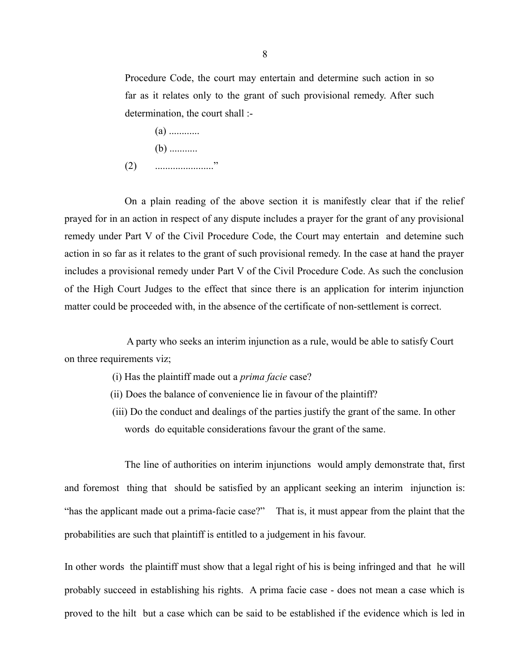Procedure Code, the court may entertain and determine such action in so far as it relates only to the grant of such provisional remedy. After such determination, the court shall :-

- (a) ............
- $(b)$  ...........
- (2) ......................."

On a plain reading of the above section it is manifestly clear that if the relief prayed for in an action in respect of any dispute includes a prayer for the grant of any provisional remedy under Part V of the Civil Procedure Code, the Court may entertain and detemine such action in so far as it relates to the grant of such provisional remedy. In the case at hand the prayer includes a provisional remedy under Part V of the Civil Procedure Code. As such the conclusion of the High Court Judges to the effect that since there is an application for interim injunction matter could be proceeded with, in the absence of the certificate of non-settlement is correct.

 A party who seeks an interim injunction as a rule, would be able to satisfy Court on three requirements viz;

- (i) Has the plaintiff made out a *prima facie* case?
- (ii) Does the balance of convenience lie in favour of the plaintiff?
- (iii) Do the conduct and dealings of the parties justify the grant of the same. In other words do equitable considerations favour the grant of the same.

The line of authorities on interim injunctions would amply demonstrate that, first and foremost thing that should be satisfied by an applicant seeking an interim injunction is: "has the applicant made out a prima-facie case?" That is, it must appear from the plaint that the probabilities are such that plaintiff is entitled to a judgement in his favour.

In other words the plaintiff must show that a legal right of his is being infringed and that he will probably succeed in establishing his rights. A prima facie case - does not mean a case which is proved to the hilt but a case which can be said to be established if the evidence which is led in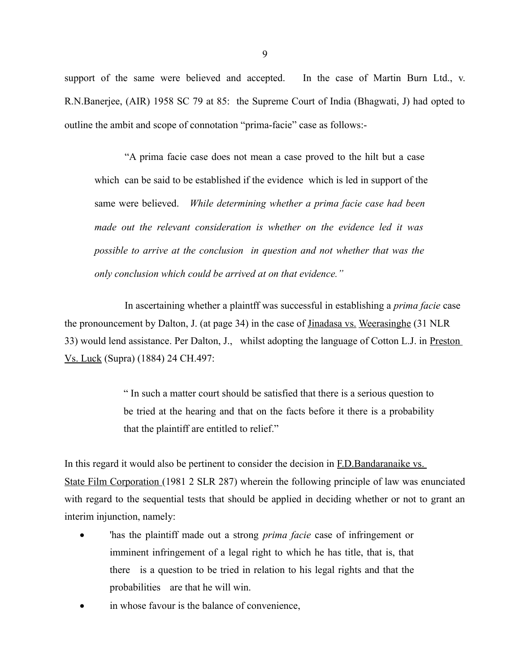support of the same were believed and accepted. In the case of Martin Burn Ltd., v. R.N.Banerjee, (AIR) 1958 SC 79 at 85: the Supreme Court of India (Bhagwati, J) had opted to outline the ambit and scope of connotation "prima-facie" case as follows:-

"A prima facie case does not mean a case proved to the hilt but a case which can be said to be established if the evidence which is led in support of the same were believed. *While determining whether a prima facie case had been made out the relevant consideration is whether on the evidence led it was possible to arrive at the conclusion in question and not whether that was the only conclusion which could be arrived at on that evidence."*

In ascertaining whether a plaintff was successful in establishing a *prima facie* case the pronouncement by Dalton, J. (at page 34) in the case of Jinadasa vs. Weerasinghe (31 NLR 33) would lend assistance. Per Dalton, J., whilst adopting the language of Cotton L.J. in Preston Vs. Luck (Supra) (1884) 24 CH.497:

> " In such a matter court should be satisfied that there is a serious question to be tried at the hearing and that on the facts before it there is a probability that the plaintiff are entitled to relief."

In this regard it would also be pertinent to consider the decision in F.D.Bandaranaike vs. State Film Corporation (1981 2 SLR 287) wherein the following principle of law was enunciated with regard to the sequential tests that should be applied in deciding whether or not to grant an interim injunction, namely:

- 'has the plaintiff made out a strong *prima facie* case of infringement or imminent infringement of a legal right to which he has title, that is, that there is a question to be tried in relation to his legal rights and that the probabilities are that he will win.
- in whose favour is the balance of convenience,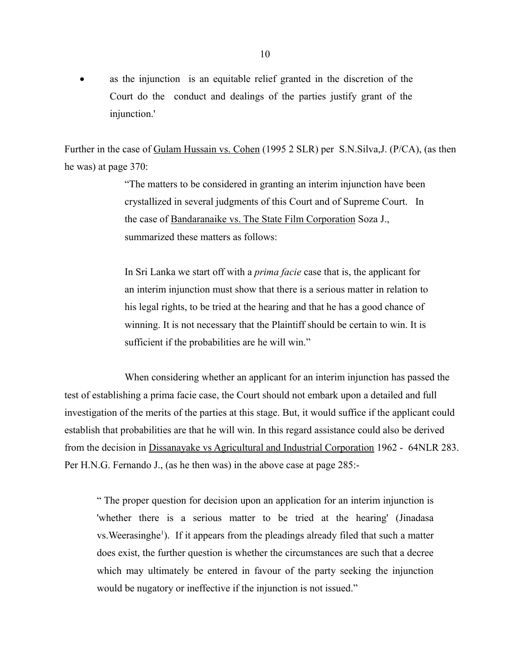as the injunction is an equitable relief granted in the discretion of the Court do the conduct and dealings of the parties justify grant of the injunction.'

Further in the case of Gulam Hussain vs. Cohen (1995 2 SLR) per S.N.Silva,J. (P/CA), (as then he was) at page 370:

> "The matters to be considered in granting an interim injunction have been crystallized in several judgments of this Court and of Supreme Court. In the case of Bandaranaike vs. The State Film Corporation Soza J., summarized these matters as follows:

> In Sri Lanka we start off with a *prima facie* case that is, the applicant for an interim injunction must show that there is a serious matter in relation to his legal rights, to be tried at the hearing and that he has a good chance of winning. It is not necessary that the Plaintiff should be certain to win. It is sufficient if the probabilities are he will win."

When considering whether an applicant for an interim injunction has passed the test of establishing a prima facie case, the Court should not embark upon a detailed and full investigation of the merits of the parties at this stage. But, it would suffice if the applicant could establish that probabilities are that he will win. In this regard assistance could also be derived from the decision in Dissanayake vs Agricultural and Industrial Corporation 1962 - 64NLR 283. Per H.N.G. Fernando J., (as he then was) in the above case at page 285:-

" The proper question for decision upon an application for an interim injunction is 'whether there is a serious matter to be tried at the hearing' (Jinadasa vs. Weerasinghe<sup>1</sup>). If it appears from the pleadings already filed that such a matter does exist, the further question is whether the circumstances are such that a decree which may ultimately be entered in favour of the party seeking the injunction would be nugatory or ineffective if the injunction is not issued."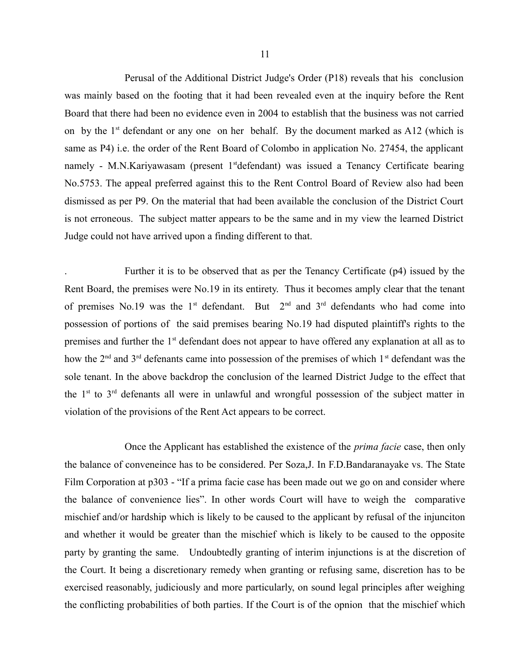Perusal of the Additional District Judge's Order (P18) reveals that his conclusion was mainly based on the footing that it had been revealed even at the inquiry before the Rent Board that there had been no evidence even in 2004 to establish that the business was not carried on by the  $1<sup>st</sup>$  defendant or any one on her behalf. By the document marked as A12 (which is same as P4) i.e. the order of the Rent Board of Colombo in application No. 27454, the applicant namely - M.N.Kariyawasam (present 1<sup>st</sup>defendant) was issued a Tenancy Certificate bearing No.5753. The appeal preferred against this to the Rent Control Board of Review also had been dismissed as per P9. On the material that had been available the conclusion of the District Court is not erroneous. The subject matter appears to be the same and in my view the learned District Judge could not have arrived upon a finding different to that.

. Further it is to be observed that as per the Tenancy Certificate (p4) issued by the Rent Board, the premises were No.19 in its entirety. Thus it becomes amply clear that the tenant of premises No.19 was the 1<sup>st</sup> defendant. But  $2<sup>nd</sup>$  and  $3<sup>rd</sup>$  defendants who had come into possession of portions of the said premises bearing No.19 had disputed plaintiff's rights to the premises and further the 1<sup>st</sup> defendant does not appear to have offered any explanation at all as to how the  $2<sup>nd</sup>$  and  $3<sup>rd</sup>$  defenants came into possession of the premises of which  $1<sup>st</sup>$  defendant was the sole tenant. In the above backdrop the conclusion of the learned District Judge to the effect that the  $1<sup>st</sup>$  to  $3<sup>rd</sup>$  defenants all were in unlawful and wrongful possession of the subject matter in violation of the provisions of the Rent Act appears to be correct.

Once the Applicant has established the existence of the *prima facie* case, then only the balance of conveneince has to be considered. Per Soza,J. In F.D.Bandaranayake vs. The State Film Corporation at p303 - "If a prima facie case has been made out we go on and consider where the balance of convenience lies". In other words Court will have to weigh the comparative mischief and/or hardship which is likely to be caused to the applicant by refusal of the injunciton and whether it would be greater than the mischief which is likely to be caused to the opposite party by granting the same. Undoubtedly granting of interim injunctions is at the discretion of the Court. It being a discretionary remedy when granting or refusing same, discretion has to be exercised reasonably, judiciously and more particularly, on sound legal principles after weighing the conflicting probabilities of both parties. If the Court is of the opnion that the mischief which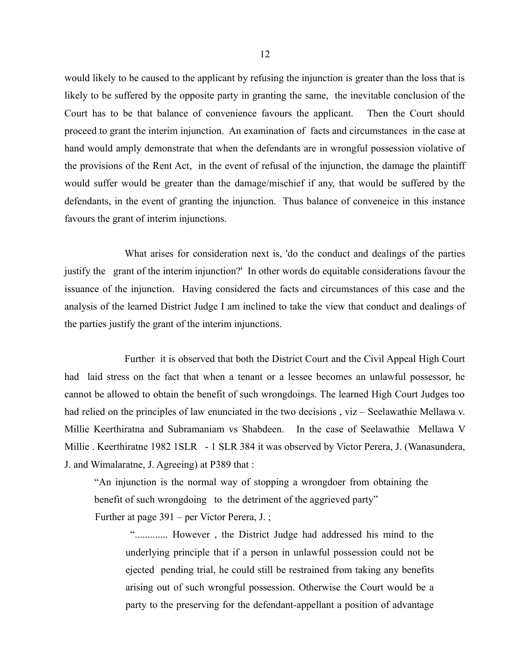would likely to be caused to the applicant by refusing the injunction is greater than the loss that is likely to be suffered by the opposite party in granting the same, the inevitable conclusion of the Court has to be that balance of convenience favours the applicant. Then the Court should proceed to grant the interim injunction. An examination of facts and circumstances in the case at hand would amply demonstrate that when the defendants are in wrongful possession violative of the provisions of the Rent Act, in the event of refusal of the injunction, the damage the plaintiff would suffer would be greater than the damage/mischief if any, that would be suffered by the defendants, in the event of granting the injunction. Thus balance of conveneice in this instance favours the grant of interim injunctions.

What arises for consideration next is, 'do the conduct and dealings of the parties justify the grant of the interim injunction?' In other words do equitable considerations favour the issuance of the injunction. Having considered the facts and circumstances of this case and the analysis of the learned District Judge I am inclined to take the view that conduct and dealings of the parties justify the grant of the interim injunctions.

Further it is observed that both the District Court and the Civil Appeal High Court had laid stress on the fact that when a tenant or a lessee becomes an unlawful possessor, he cannot be allowed to obtain the benefit of such wrongdoings. The learned High Court Judges too had relied on the principles of law enunciated in the two decisions, viz – Seelawathie Mellawa v. Millie Keerthiratna and Subramaniam vs Shabdeen. In the case of Seelawathie Mellawa V Millie . Keerthiratne 1982 1SLR - 1 SLR 384 it was observed by Victor Perera, J. (Wanasundera, J. and Wimalaratne, J. Agreeing) at P389 that :

"An injunction is the normal way of stopping a wrongdoer from obtaining the benefit of such wrongdoing to the detriment of the aggrieved party"

Further at page 391 – per Victor Perera, J. ;

 "............. However , the District Judge had addressed his mind to the underlying principle that if a person in unlawful possession could not be ejected pending trial, he could still be restrained from taking any benefits arising out of such wrongful possession. Otherwise the Court would be a party to the preserving for the defendant-appellant a position of advantage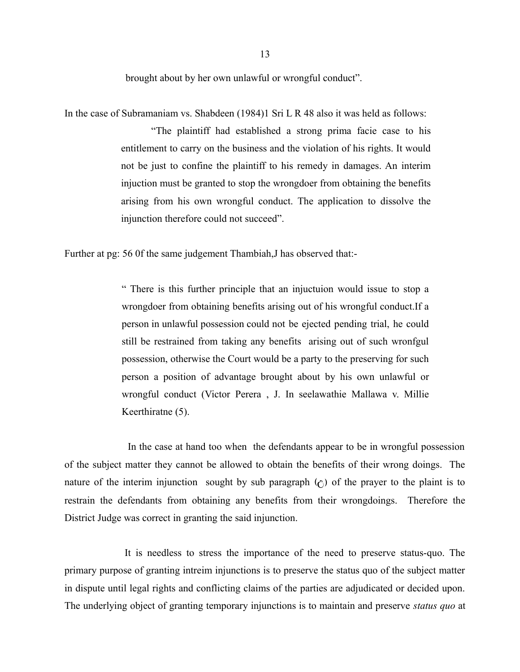brought about by her own unlawful or wrongful conduct".

In the case of Subramaniam vs. Shabdeen (1984)1 Sri L R 48 also it was held as follows:

"The plaintiff had established a strong prima facie case to his entitlement to carry on the business and the violation of his rights. It would not be just to confine the plaintiff to his remedy in damages. An interim injuction must be granted to stop the wrongdoer from obtaining the benefits arising from his own wrongful conduct. The application to dissolve the injunction therefore could not succeed".

Further at pg: 56 0f the same judgement Thambiah,J has observed that:-

" There is this further principle that an injuctuion would issue to stop a wrongdoer from obtaining benefits arising out of his wrongful conduct.If a person in unlawful possession could not be ejected pending trial, he could still be restrained from taking any benefits arising out of such wronfgul possession, otherwise the Court would be a party to the preserving for such person a position of advantage brought about by his own unlawful or wrongful conduct (Victor Perera , J. In seelawathie Mallawa v. Millie Keerthiratne (5).

 In the case at hand too when the defendants appear to be in wrongful possession of the subject matter they cannot be allowed to obtain the benefits of their wrong doings. The nature of the interim injunction sought by sub paragraph  $(\hat{\sigma})$  of the prayer to the plaint is to restrain the defendants from obtaining any benefits from their wrongdoings. Therefore the District Judge was correct in granting the said injunction.

It is needless to stress the importance of the need to preserve status-quo. The primary purpose of granting intreim injunctions is to preserve the status quo of the subject matter in dispute until legal rights and conflicting claims of the parties are adjudicated or decided upon. The underlying object of granting temporary injunctions is to maintain and preserve *status quo* at